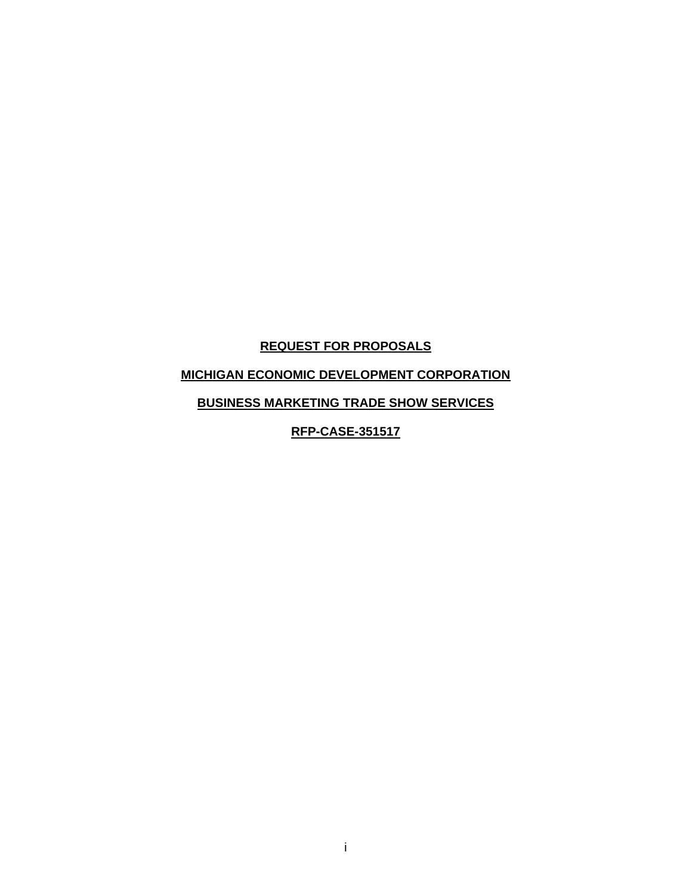# **REQUEST FOR PROPOSALS**

# **MICHIGAN ECONOMIC DEVELOPMENT CORPORATION**

# **BUSINESS MARKETING TRADE SHOW SERVICES**

**RFP-CASE-351517**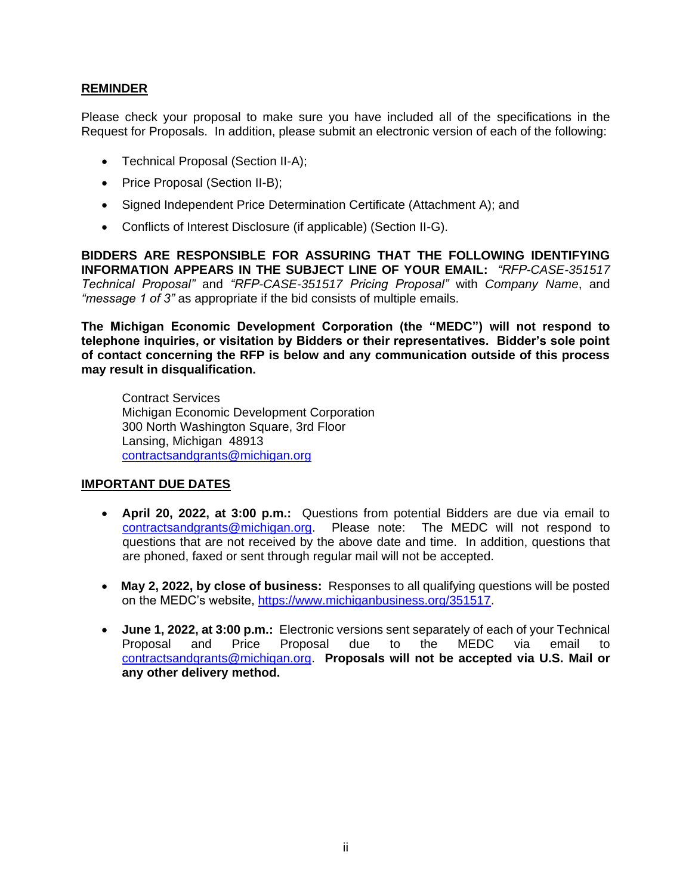#### **REMINDER**

Please check your proposal to make sure you have included all of the specifications in the Request for Proposals. In addition, please submit an electronic version of each of the following:

- Technical Proposal (Section II-A);
- Price Proposal (Section II-B);
- Signed Independent Price Determination Certificate (Attachment A); and
- Conflicts of Interest Disclosure (if applicable) (Section II-G).

**BIDDERS ARE RESPONSIBLE FOR ASSURING THAT THE FOLLOWING IDENTIFYING INFORMATION APPEARS IN THE SUBJECT LINE OF YOUR EMAIL:** *"RFP-CASE-351517 Technical Proposal"* and *"RFP-CASE-351517 Pricing Proposal"* with *Company Name*, and *"message 1 of 3"* as appropriate if the bid consists of multiple emails.

**The Michigan Economic Development Corporation (the "MEDC") will not respond to telephone inquiries, or visitation by Bidders or their representatives. Bidder's sole point of contact concerning the RFP is below and any communication outside of this process may result in disqualification.**

Contract Services Michigan Economic Development Corporation 300 North Washington Square, 3rd Floor Lansing, Michigan 48913 [contractsandgrants@michigan.org](mailto:contracts&grants@michigan.org)

#### **IMPORTANT DUE DATES**

- **April 20, 2022, at 3:00 p.m.:** Questions from potential Bidders are due via email to [contractsandgrants@michigan.org.](mailto:contractsandgrants@michigan.org) Please note: The MEDC will not respond to questions that are not received by the above date and time. In addition, questions that are phoned, faxed or sent through regular mail will not be accepted.
- **May 2, 2022, by close of business:** Responses to all qualifying questions will be posted on the MEDC's website, https://www.michiganbusiness.org/351517.
- **June 1, 2022, at 3:00 p.m.:** Electronic versions sent separately of each of your Technical Proposal and Price Proposal due to the MEDC via email to [contractsandgrants@michigan.org.](mailto:contracts&grants@michigan.org) **Proposals will not be accepted via U.S. Mail or any other delivery method.**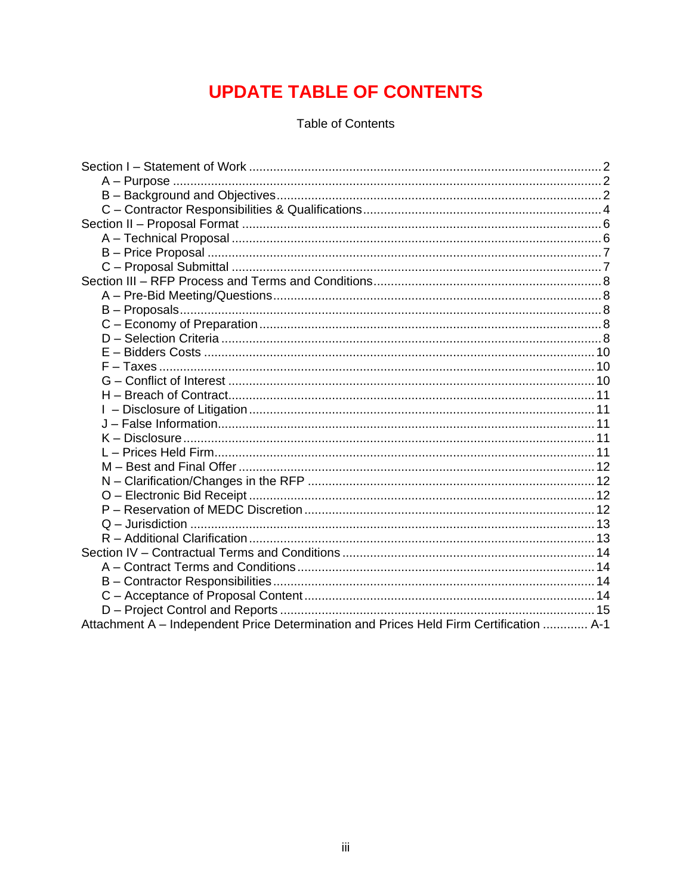# **UPDATE TABLE OF CONTENTS**

**Table of Contents** 

| Attachment A - Independent Price Determination and Prices Held Firm Certification  A-1 |  |
|----------------------------------------------------------------------------------------|--|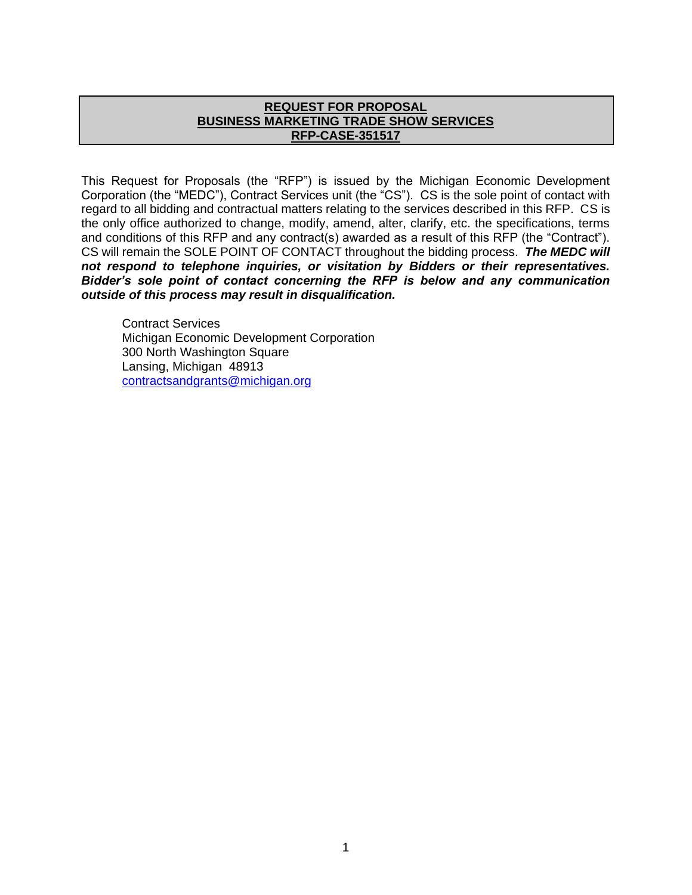#### **REQUEST FOR PROPOSAL BUSINESS MARKETING TRADE SHOW SERVICES RFP-CASE-351517**

This Request for Proposals (the "RFP") is issued by the Michigan Economic Development Corporation (the "MEDC"), Contract Services unit (the "CS"). CS is the sole point of contact with regard to all bidding and contractual matters relating to the services described in this RFP. CS is the only office authorized to change, modify, amend, alter, clarify, etc. the specifications, terms and conditions of this RFP and any contract(s) awarded as a result of this RFP (the "Contract"). CS will remain the SOLE POINT OF CONTACT throughout the bidding process. *The MEDC will not respond to telephone inquiries, or visitation by Bidders or their representatives. Bidder's sole point of contact concerning the RFP is below and any communication outside of this process may result in disqualification.*

Contract Services Michigan Economic Development Corporation 300 North Washington Square Lansing, Michigan 48913 [contractsandgrants@michigan.org](mailto:contracts&grants@michigan.org)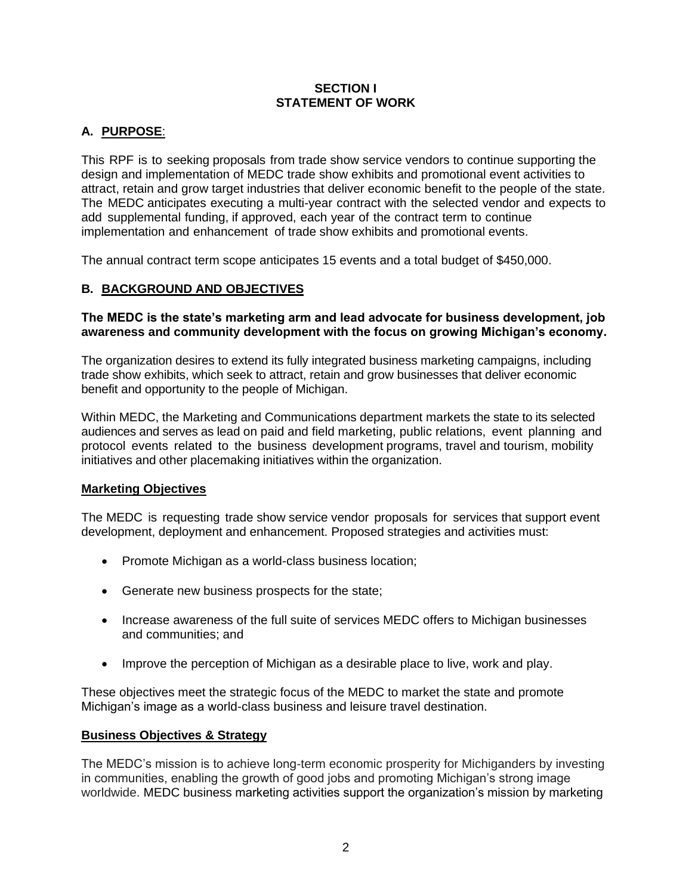#### **SECTION I STATEMENT OF WORK**

# **A. PURPOSE**:

This RPF is to seeking proposals from trade show service vendors to continue supporting the design and implementation of MEDC trade show exhibits and promotional event activities to attract, retain and grow target industries that deliver economic benefit to the people of the state. The MEDC anticipates executing a multi-year contract with the selected vendor and expects to add supplemental funding, if approved, each year of the contract term to continue implementation and enhancement of trade show exhibits and promotional events.

The annual contract term scope anticipates 15 events and a total budget of \$450,000.

# **B. BACKGROUND AND OBJECTIVES**

#### **The MEDC is the state's marketing arm and lead advocate for business development, job awareness and community development with the focus on growing Michigan's economy.**

The organization desires to extend its fully integrated business marketing campaigns, including trade show exhibits, which seek to attract, retain and grow businesses that deliver economic benefit and opportunity to the people of Michigan.

Within MEDC, the Marketing and Communications department markets the state to its selected audiences and serves as lead on paid and field marketing, public relations, event planning and protocol events related to the business development programs, travel and tourism, mobility initiatives and other placemaking initiatives within the organization.

#### **Marketing Objectives**

The MEDC is requesting trade show service vendor proposals for services that support event development, deployment and enhancement. Proposed strategies and activities must:

- Promote Michigan as a world-class business location;
- Generate new business prospects for the state;
- Increase awareness of the full suite of services MEDC offers to Michigan businesses and communities; and
- Improve the perception of Michigan as a desirable place to live, work and play.

These objectives meet the strategic focus of the MEDC to market the state and promote Michigan's image as a world-class business and leisure travel destination.

#### **Business Objectives & Strategy**

The MEDC's mission is to achieve long-term economic prosperity for Michiganders by investing in communities, enabling the growth of good jobs and promoting Michigan's strong image worldwide. MEDC business marketing activities support the organization's mission by marketing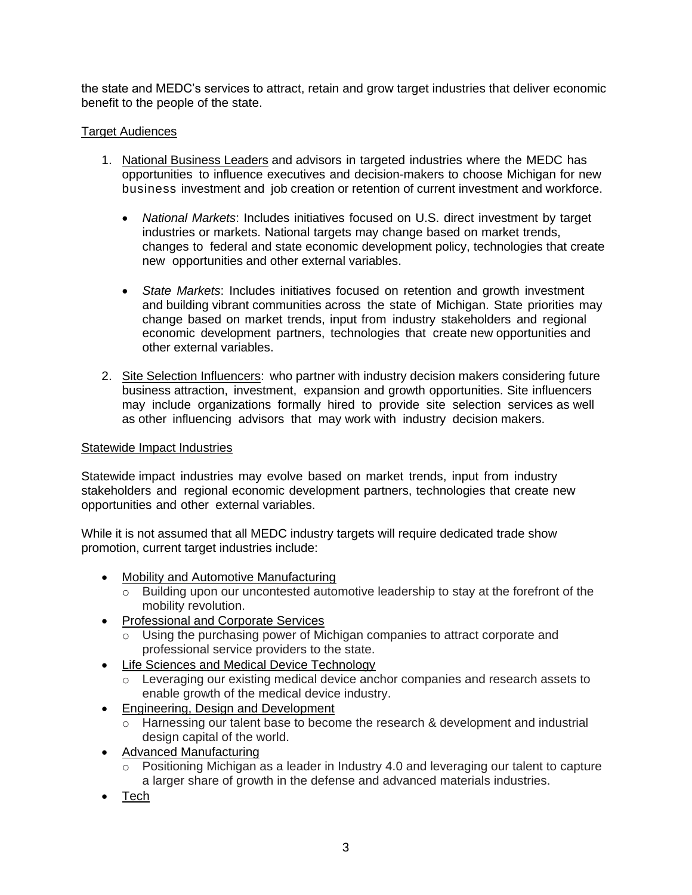the state and MEDC's services to attract, retain and grow target industries that deliver economic benefit to the people of the state.

#### Target Audiences

- 1. National Business Leaders and advisors in targeted industries where the MEDC has opportunities to influence executives and decision-makers to choose Michigan for new business investment and job creation or retention of current investment and workforce.
	- *National Markets*: Includes initiatives focused on U.S. direct investment by target industries or markets. National targets may change based on market trends, changes to federal and state economic development policy, technologies that create new opportunities and other external variables.
	- *State Markets*: Includes initiatives focused on retention and growth investment and building vibrant communities across the state of Michigan. State priorities may change based on market trends, input from industry stakeholders and regional economic development partners, technologies that create new opportunities and other external variables.
- 2. Site Selection Influencers: who partner with industry decision makers considering future business attraction, investment, expansion and growth opportunities. Site influencers may include organizations formally hired to provide site selection services as well as other influencing advisors that may work with industry decision makers.

#### Statewide Impact Industries

Statewide impact industries may evolve based on market trends, input from industry stakeholders and regional economic development partners, technologies that create new opportunities and other external variables.

While it is not assumed that all MEDC industry targets will require dedicated trade show promotion, current target industries include:

- Mobility and Automotive Manufacturing
	- o Building upon our uncontested automotive leadership to stay at the forefront of the mobility revolution.
- Professional and Corporate Services
	- $\overline{\circ}$  Using the purchasing power of Michigan companies to attract corporate and professional service providers to the state.
- Life Sciences and Medical Device Technology
	- o Leveraging our existing medical device anchor companies and research assets to enable growth of the medical device industry.
- Engineering, Design and Development
	- o Harnessing our talent base to become the research & development and industrial design capital of the world.
- Advanced Manufacturing
	- $\overline{\circ}$  Positioning Michigan as a leader in Industry 4.0 and leveraging our talent to capture a larger share of growth in the defense and advanced materials industries.
- Tech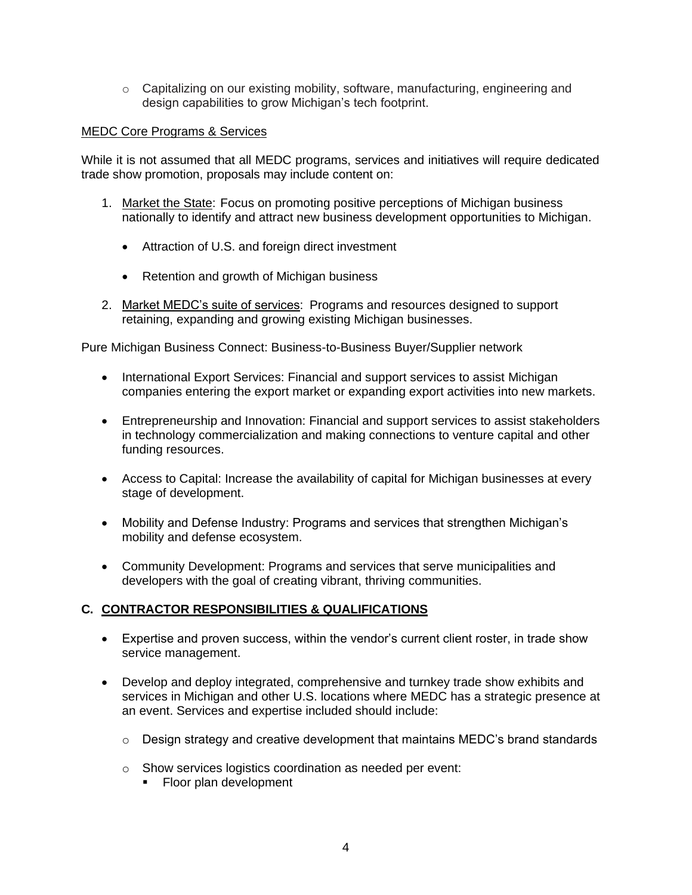$\circ$  Capitalizing on our existing mobility, software, manufacturing, engineering and design capabilities to grow Michigan's tech footprint.

#### MEDC Core Programs & Services

While it is not assumed that all MEDC programs, services and initiatives will require dedicated trade show promotion, proposals may include content on:

- 1. Market the State: Focus on promoting positive perceptions of Michigan business nationally to identify and attract new business development opportunities to Michigan.
	- Attraction of U.S. and foreign direct investment
	- Retention and growth of Michigan business
- 2. Market MEDC's suite of services: Programs and resources designed to support retaining, expanding and growing existing Michigan businesses.

Pure Michigan Business Connect: Business-to-Business Buyer/Supplier network

- International Export Services: Financial and support services to assist Michigan companies entering the export market or expanding export activities into new markets.
- Entrepreneurship and Innovation: Financial and support services to assist stakeholders in technology commercialization and making connections to venture capital and other funding resources.
- Access to Capital: Increase the availability of capital for Michigan businesses at every stage of development.
- Mobility and Defense Industry: Programs and services that strengthen Michigan's mobility and defense ecosystem.
- Community Development: Programs and services that serve municipalities and developers with the goal of creating vibrant, thriving communities.

# **C. CONTRACTOR RESPONSIBILITIES & QUALIFICATIONS**

- Expertise and proven success, within the vendor's current client roster, in trade show service management.
- Develop and deploy integrated, comprehensive and turnkey trade show exhibits and services in Michigan and other U.S. locations where MEDC has a strategic presence at an event. Services and expertise included should include:
	- $\circ$  Design strategy and creative development that maintains MEDC's brand standards
	- o Show services logistics coordination as needed per event:
		- Floor plan development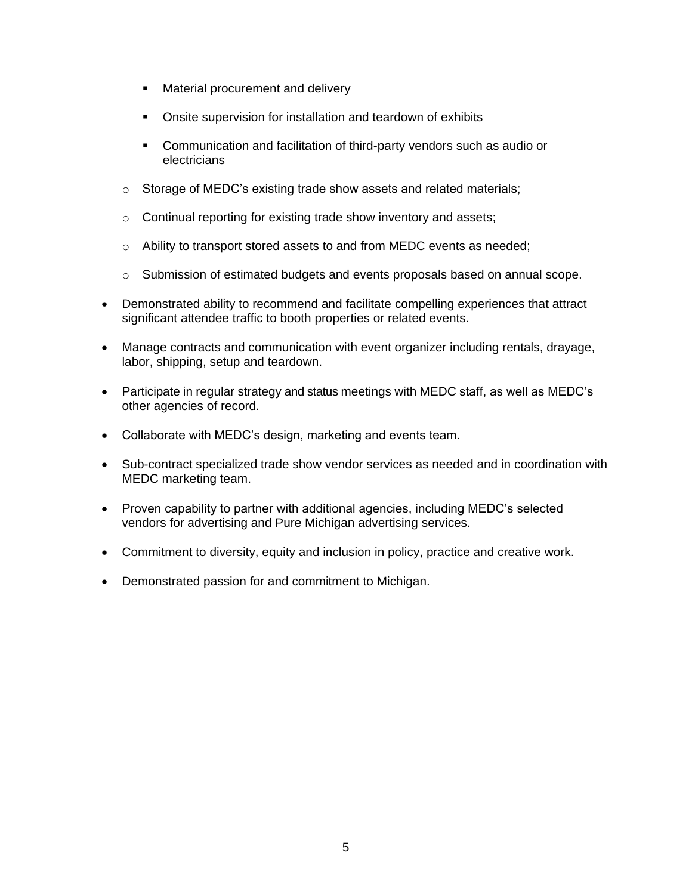- Material procurement and delivery
- Onsite supervision for installation and teardown of exhibits
- Communication and facilitation of third-party vendors such as audio or electricians
- o Storage of MEDC's existing trade show assets and related materials;
- o Continual reporting for existing trade show inventory and assets;
- o Ability to transport stored assets to and from MEDC events as needed;
- $\circ$  Submission of estimated budgets and events proposals based on annual scope.
- Demonstrated ability to recommend and facilitate compelling experiences that attract significant attendee traffic to booth properties or related events.
- Manage contracts and communication with event organizer including rentals, drayage, labor, shipping, setup and teardown.
- Participate in regular strategy and status meetings with MEDC staff, as well as MEDC's other agencies of record.
- Collaborate with MEDC's design, marketing and events team.
- Sub-contract specialized trade show vendor services as needed and in coordination with MEDC marketing team.
- Proven capability to partner with additional agencies, including MEDC's selected vendors for advertising and Pure Michigan advertising services.
- Commitment to diversity, equity and inclusion in policy, practice and creative work.
- Demonstrated passion for and commitment to Michigan.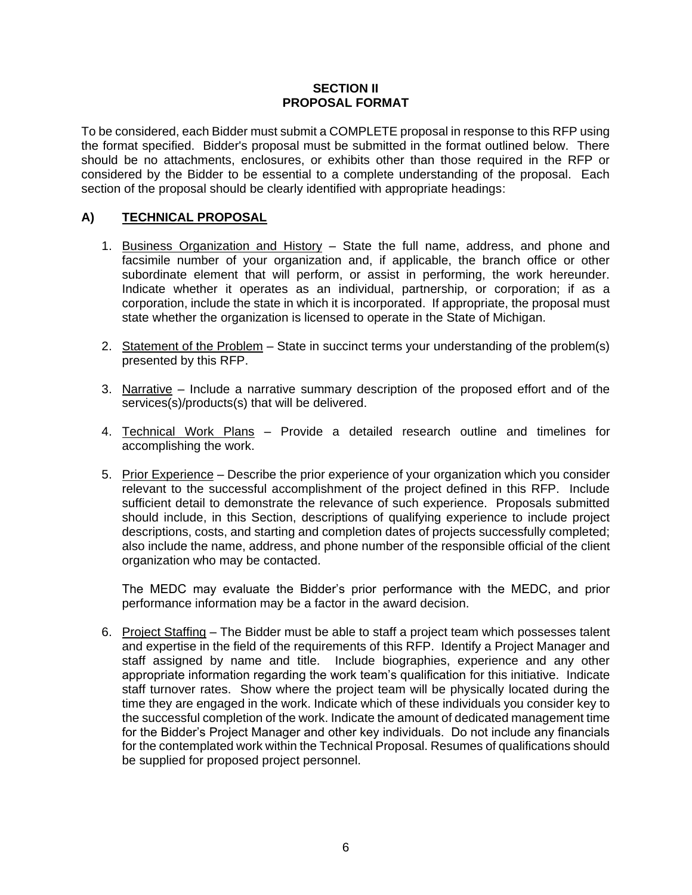#### **SECTION II PROPOSAL FORMAT**

To be considered, each Bidder must submit a COMPLETE proposal in response to this RFP using the format specified. Bidder's proposal must be submitted in the format outlined below. There should be no attachments, enclosures, or exhibits other than those required in the RFP or considered by the Bidder to be essential to a complete understanding of the proposal. Each section of the proposal should be clearly identified with appropriate headings:

#### **A) TECHNICAL PROPOSAL**

- 1. Business Organization and History State the full name, address, and phone and facsimile number of your organization and, if applicable, the branch office or other subordinate element that will perform, or assist in performing, the work hereunder. Indicate whether it operates as an individual, partnership, or corporation; if as a corporation, include the state in which it is incorporated. If appropriate, the proposal must state whether the organization is licensed to operate in the State of Michigan.
- 2. Statement of the Problem State in succinct terms your understanding of the problem(s) presented by this RFP.
- 3. Narrative Include a narrative summary description of the proposed effort and of the services(s)/products(s) that will be delivered.
- 4. Technical Work Plans Provide a detailed research outline and timelines for accomplishing the work.
- 5. Prior Experience Describe the prior experience of your organization which you consider relevant to the successful accomplishment of the project defined in this RFP. Include sufficient detail to demonstrate the relevance of such experience. Proposals submitted should include, in this Section, descriptions of qualifying experience to include project descriptions, costs, and starting and completion dates of projects successfully completed; also include the name, address, and phone number of the responsible official of the client organization who may be contacted.

The MEDC may evaluate the Bidder's prior performance with the MEDC, and prior performance information may be a factor in the award decision.

6. Project Staffing – The Bidder must be able to staff a project team which possesses talent and expertise in the field of the requirements of this RFP. Identify a Project Manager and staff assigned by name and title. Include biographies, experience and any other appropriate information regarding the work team's qualification for this initiative. Indicate staff turnover rates. Show where the project team will be physically located during the time they are engaged in the work. Indicate which of these individuals you consider key to the successful completion of the work. Indicate the amount of dedicated management time for the Bidder's Project Manager and other key individuals. Do not include any financials for the contemplated work within the Technical Proposal. Resumes of qualifications should be supplied for proposed project personnel.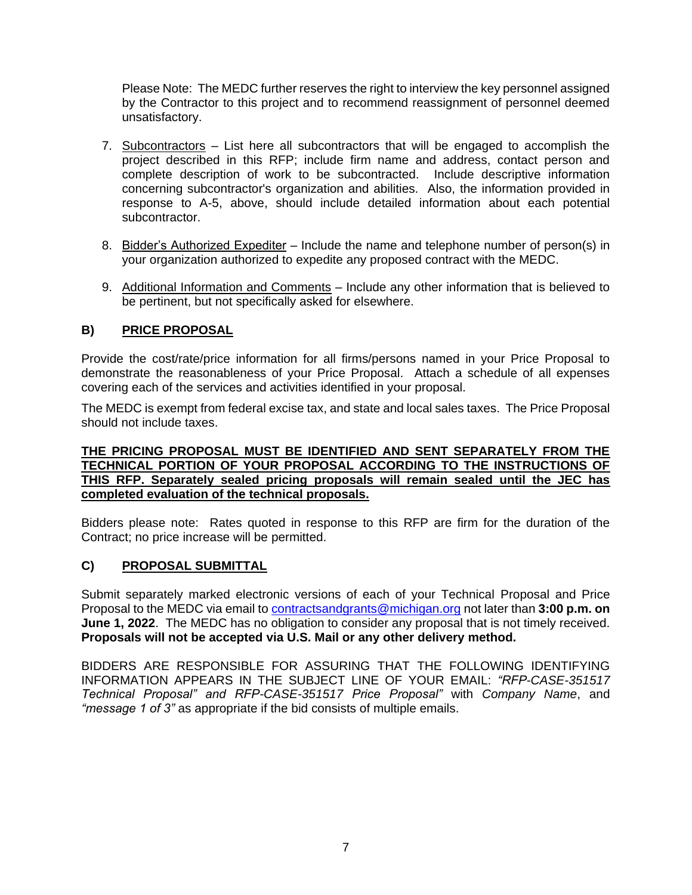Please Note: The MEDC further reserves the right to interview the key personnel assigned by the Contractor to this project and to recommend reassignment of personnel deemed unsatisfactory.

- 7. Subcontractors List here all subcontractors that will be engaged to accomplish the project described in this RFP; include firm name and address, contact person and complete description of work to be subcontracted. Include descriptive information concerning subcontractor's organization and abilities. Also, the information provided in response to A-5, above, should include detailed information about each potential subcontractor.
- 8. Bidder's Authorized Expediter Include the name and telephone number of person(s) in your organization authorized to expedite any proposed contract with the MEDC.
- 9. Additional Information and Comments Include any other information that is believed to be pertinent, but not specifically asked for elsewhere.

# **B) PRICE PROPOSAL**

Provide the cost/rate/price information for all firms/persons named in your Price Proposal to demonstrate the reasonableness of your Price Proposal. Attach a schedule of all expenses covering each of the services and activities identified in your proposal.

The MEDC is exempt from federal excise tax, and state and local sales taxes. The Price Proposal should not include taxes.

#### **THE PRICING PROPOSAL MUST BE IDENTIFIED AND SENT SEPARATELY FROM THE TECHNICAL PORTION OF YOUR PROPOSAL ACCORDING TO THE INSTRUCTIONS OF THIS RFP. Separately sealed pricing proposals will remain sealed until the JEC has completed evaluation of the technical proposals.**

Bidders please note: Rates quoted in response to this RFP are firm for the duration of the Contract; no price increase will be permitted.

# **C) PROPOSAL SUBMITTAL**

Submit separately marked electronic versions of each of your Technical Proposal and Price Proposal to the MEDC via email to [contractsandgrants@michigan.org](mailto:contracts&grants@michigan.org) not later than **3:00 p.m. on June 1, 2022.** The MEDC has no obligation to consider any proposal that is not timely received. **Proposals will not be accepted via U.S. Mail or any other delivery method.**

BIDDERS ARE RESPONSIBLE FOR ASSURING THAT THE FOLLOWING IDENTIFYING INFORMATION APPEARS IN THE SUBJECT LINE OF YOUR EMAIL: *"RFP-CASE-351517 Technical Proposal" and RFP-CASE-351517 Price Proposal"* with *Company Name*, and *"message 1 of 3"* as appropriate if the bid consists of multiple emails.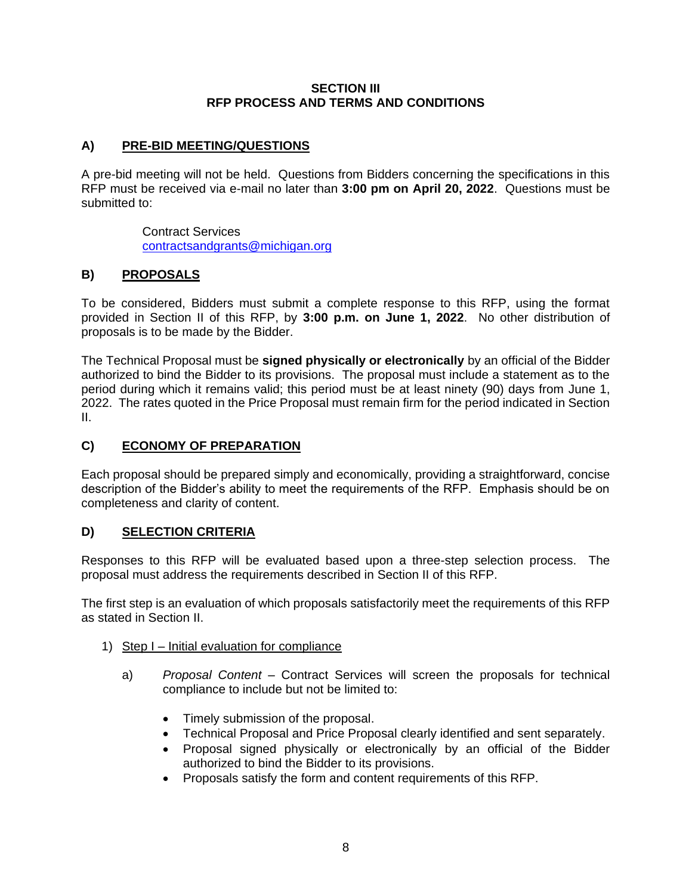#### **SECTION III RFP PROCESS AND TERMS AND CONDITIONS**

#### **A) PRE-BID MEETING/QUESTIONS**

A pre-bid meeting will not be held. Questions from Bidders concerning the specifications in this RFP must be received via e-mail no later than **3:00 pm on April 20, 2022**. Questions must be submitted to:

> Contract Services [contractsandgrants@michigan.org](mailto:contracts&grants@michigan.org)

#### **B) PROPOSALS**

To be considered, Bidders must submit a complete response to this RFP, using the format provided in Section II of this RFP, by **3:00 p.m. on June 1, 2022**. No other distribution of proposals is to be made by the Bidder.

The Technical Proposal must be **signed physically or electronically** by an official of the Bidder authorized to bind the Bidder to its provisions. The proposal must include a statement as to the period during which it remains valid; this period must be at least ninety (90) days from June 1, 2022. The rates quoted in the Price Proposal must remain firm for the period indicated in Section II.

#### **C) ECONOMY OF PREPARATION**

Each proposal should be prepared simply and economically, providing a straightforward, concise description of the Bidder's ability to meet the requirements of the RFP. Emphasis should be on completeness and clarity of content.

#### **D) SELECTION CRITERIA**

Responses to this RFP will be evaluated based upon a three-step selection process. The proposal must address the requirements described in Section II of this RFP.

The first step is an evaluation of which proposals satisfactorily meet the requirements of this RFP as stated in Section II.

- 1) Step I Initial evaluation for compliance
	- a) *Proposal Content* Contract Services will screen the proposals for technical compliance to include but not be limited to:
		- Timely submission of the proposal.
		- Technical Proposal and Price Proposal clearly identified and sent separately.
		- Proposal signed physically or electronically by an official of the Bidder authorized to bind the Bidder to its provisions.
		- Proposals satisfy the form and content requirements of this RFP.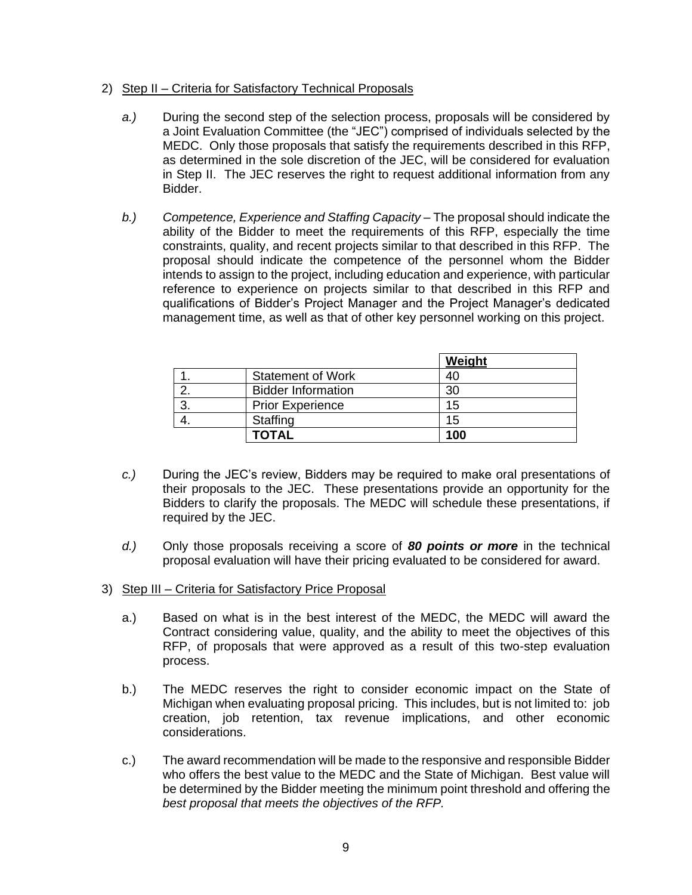#### 2) Step II – Criteria for Satisfactory Technical Proposals

- *a.)* During the second step of the selection process, proposals will be considered by a Joint Evaluation Committee (the "JEC") comprised of individuals selected by the MEDC. Only those proposals that satisfy the requirements described in this RFP, as determined in the sole discretion of the JEC, will be considered for evaluation in Step II. The JEC reserves the right to request additional information from any Bidder.
- *b.*) *Competence, Experience and Staffing Capacity The proposal should indicate the* ability of the Bidder to meet the requirements of this RFP, especially the time constraints, quality, and recent projects similar to that described in this RFP. The proposal should indicate the competence of the personnel whom the Bidder intends to assign to the project, including education and experience, with particular reference to experience on projects similar to that described in this RFP and qualifications of Bidder's Project Manager and the Project Manager's dedicated management time, as well as that of other key personnel working on this project.

|   |                           | Weight |
|---|---------------------------|--------|
|   | <b>Statement of Work</b>  | 40     |
|   | <b>Bidder Information</b> | 30     |
| ົ | <b>Prior Experience</b>   | 15     |
|   | Staffing                  | 15     |
|   | TOTAL                     | 100    |

- *c.)* During the JEC's review, Bidders may be required to make oral presentations of their proposals to the JEC. These presentations provide an opportunity for the Bidders to clarify the proposals. The MEDC will schedule these presentations, if required by the JEC.
- *d.)* Only those proposals receiving a score of *80 points or more* in the technical proposal evaluation will have their pricing evaluated to be considered for award.
- 3) Step III Criteria for Satisfactory Price Proposal
	- a.) Based on what is in the best interest of the MEDC, the MEDC will award the Contract considering value, quality, and the ability to meet the objectives of this RFP, of proposals that were approved as a result of this two-step evaluation process.
	- b.) The MEDC reserves the right to consider economic impact on the State of Michigan when evaluating proposal pricing. This includes, but is not limited to: job creation, job retention, tax revenue implications, and other economic considerations.
	- c.) The award recommendation will be made to the responsive and responsible Bidder who offers the best value to the MEDC and the State of Michigan. Best value will be determined by the Bidder meeting the minimum point threshold and offering the *best proposal that meets the objectives of the RFP.*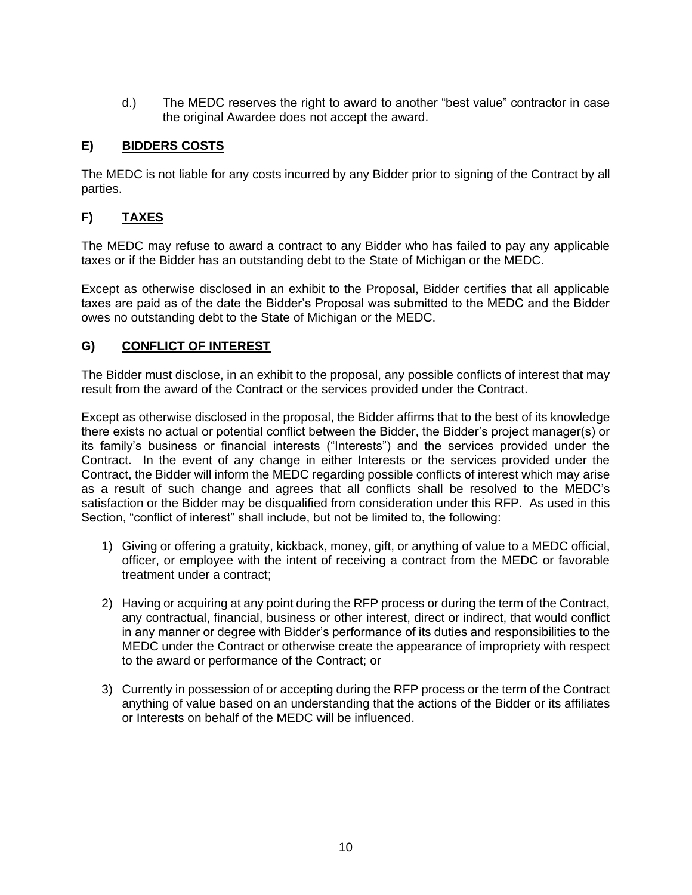d.) The MEDC reserves the right to award to another "best value" contractor in case the original Awardee does not accept the award.

# **E) BIDDERS COSTS**

The MEDC is not liable for any costs incurred by any Bidder prior to signing of the Contract by all parties.

# **F) TAXES**

The MEDC may refuse to award a contract to any Bidder who has failed to pay any applicable taxes or if the Bidder has an outstanding debt to the State of Michigan or the MEDC.

Except as otherwise disclosed in an exhibit to the Proposal, Bidder certifies that all applicable taxes are paid as of the date the Bidder's Proposal was submitted to the MEDC and the Bidder owes no outstanding debt to the State of Michigan or the MEDC.

# **G) CONFLICT OF INTEREST**

The Bidder must disclose, in an exhibit to the proposal, any possible conflicts of interest that may result from the award of the Contract or the services provided under the Contract.

Except as otherwise disclosed in the proposal, the Bidder affirms that to the best of its knowledge there exists no actual or potential conflict between the Bidder, the Bidder's project manager(s) or its family's business or financial interests ("Interests") and the services provided under the Contract. In the event of any change in either Interests or the services provided under the Contract, the Bidder will inform the MEDC regarding possible conflicts of interest which may arise as a result of such change and agrees that all conflicts shall be resolved to the MEDC's satisfaction or the Bidder may be disqualified from consideration under this RFP. As used in this Section, "conflict of interest" shall include, but not be limited to, the following:

- 1) Giving or offering a gratuity, kickback, money, gift, or anything of value to a MEDC official, officer, or employee with the intent of receiving a contract from the MEDC or favorable treatment under a contract;
- 2) Having or acquiring at any point during the RFP process or during the term of the Contract, any contractual, financial, business or other interest, direct or indirect, that would conflict in any manner or degree with Bidder's performance of its duties and responsibilities to the MEDC under the Contract or otherwise create the appearance of impropriety with respect to the award or performance of the Contract; or
- 3) Currently in possession of or accepting during the RFP process or the term of the Contract anything of value based on an understanding that the actions of the Bidder or its affiliates or Interests on behalf of the MEDC will be influenced.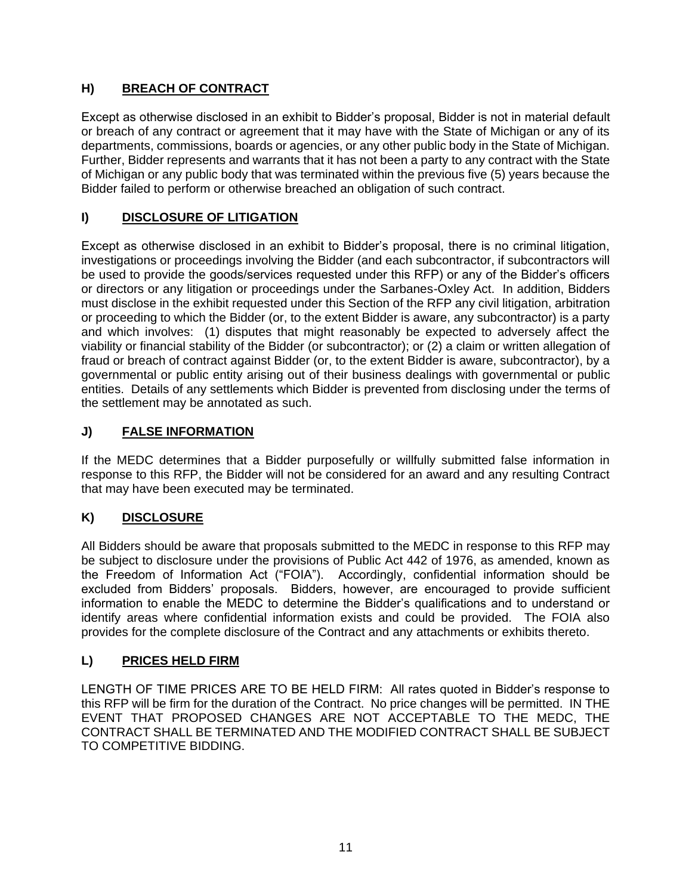# **H) BREACH OF CONTRACT**

Except as otherwise disclosed in an exhibit to Bidder's proposal, Bidder is not in material default or breach of any contract or agreement that it may have with the State of Michigan or any of its departments, commissions, boards or agencies, or any other public body in the State of Michigan. Further, Bidder represents and warrants that it has not been a party to any contract with the State of Michigan or any public body that was terminated within the previous five (5) years because the Bidder failed to perform or otherwise breached an obligation of such contract.

# **I) DISCLOSURE OF LITIGATION**

Except as otherwise disclosed in an exhibit to Bidder's proposal, there is no criminal litigation, investigations or proceedings involving the Bidder (and each subcontractor, if subcontractors will be used to provide the goods/services requested under this RFP) or any of the Bidder's officers or directors or any litigation or proceedings under the Sarbanes-Oxley Act. In addition, Bidders must disclose in the exhibit requested under this Section of the RFP any civil litigation, arbitration or proceeding to which the Bidder (or, to the extent Bidder is aware, any subcontractor) is a party and which involves: (1) disputes that might reasonably be expected to adversely affect the viability or financial stability of the Bidder (or subcontractor); or (2) a claim or written allegation of fraud or breach of contract against Bidder (or, to the extent Bidder is aware, subcontractor), by a governmental or public entity arising out of their business dealings with governmental or public entities. Details of any settlements which Bidder is prevented from disclosing under the terms of the settlement may be annotated as such.

# **J) FALSE INFORMATION**

If the MEDC determines that a Bidder purposefully or willfully submitted false information in response to this RFP, the Bidder will not be considered for an award and any resulting Contract that may have been executed may be terminated.

# **K) DISCLOSURE**

All Bidders should be aware that proposals submitted to the MEDC in response to this RFP may be subject to disclosure under the provisions of Public Act 442 of 1976, as amended, known as the Freedom of Information Act ("FOIA"). Accordingly, confidential information should be excluded from Bidders' proposals. Bidders, however, are encouraged to provide sufficient information to enable the MEDC to determine the Bidder's qualifications and to understand or identify areas where confidential information exists and could be provided. The FOIA also provides for the complete disclosure of the Contract and any attachments or exhibits thereto.

# **L) PRICES HELD FIRM**

LENGTH OF TIME PRICES ARE TO BE HELD FIRM: All rates quoted in Bidder's response to this RFP will be firm for the duration of the Contract. No price changes will be permitted. IN THE EVENT THAT PROPOSED CHANGES ARE NOT ACCEPTABLE TO THE MEDC, THE CONTRACT SHALL BE TERMINATED AND THE MODIFIED CONTRACT SHALL BE SUBJECT TO COMPETITIVE BIDDING.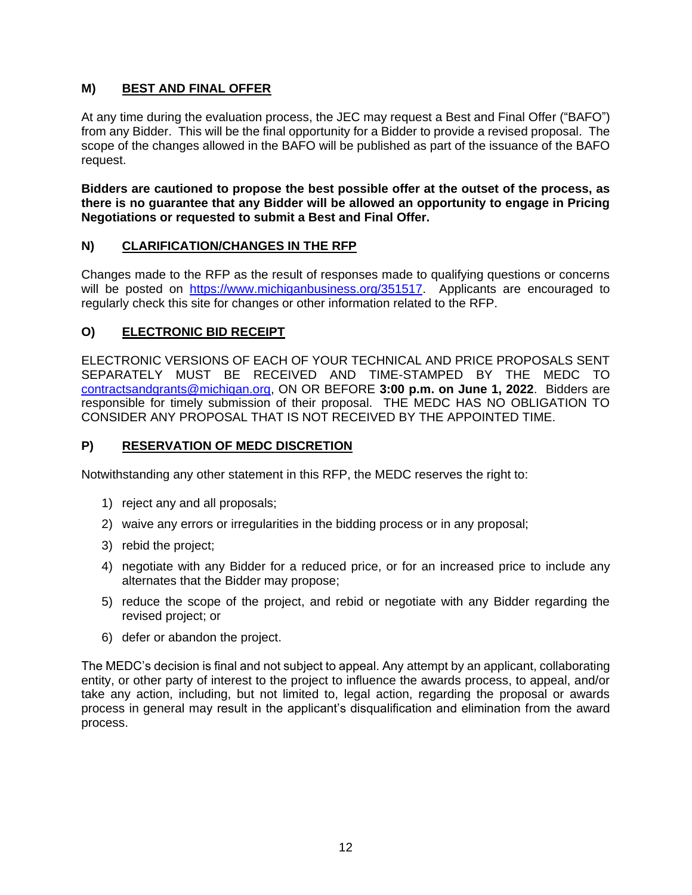# **M) BEST AND FINAL OFFER**

At any time during the evaluation process, the JEC may request a Best and Final Offer ("BAFO") from any Bidder. This will be the final opportunity for a Bidder to provide a revised proposal. The scope of the changes allowed in the BAFO will be published as part of the issuance of the BAFO request.

**Bidders are cautioned to propose the best possible offer at the outset of the process, as there is no guarantee that any Bidder will be allowed an opportunity to engage in Pricing Negotiations or requested to submit a Best and Final Offer.**

# **N) CLARIFICATION/CHANGES IN THE RFP**

Changes made to the RFP as the result of responses made to qualifying questions or concerns will be posted on https://www.michiganbusiness.org/351517. Applicants are encouraged to regularly check this site for changes or other information related to the RFP.

# **O) ELECTRONIC BID RECEIPT**

ELECTRONIC VERSIONS OF EACH OF YOUR TECHNICAL AND PRICE PROPOSALS SENT SEPARATELY MUST BE RECEIVED AND TIME-STAMPED BY THE MEDC TO [contractsandgrants@michigan.org,](mailto:contracts&grants@michigan.org) ON OR BEFORE **3:00 p.m. on June 1, 2022**. Bidders are responsible for timely submission of their proposal. THE MEDC HAS NO OBLIGATION TO CONSIDER ANY PROPOSAL THAT IS NOT RECEIVED BY THE APPOINTED TIME.

# **P) RESERVATION OF MEDC DISCRETION**

Notwithstanding any other statement in this RFP, the MEDC reserves the right to:

- 1) reject any and all proposals;
- 2) waive any errors or irregularities in the bidding process or in any proposal;
- 3) rebid the project;
- 4) negotiate with any Bidder for a reduced price, or for an increased price to include any alternates that the Bidder may propose;
- 5) reduce the scope of the project, and rebid or negotiate with any Bidder regarding the revised project; or
- 6) defer or abandon the project.

The MEDC's decision is final and not subject to appeal. Any attempt by an applicant, collaborating entity, or other party of interest to the project to influence the awards process, to appeal, and/or take any action, including, but not limited to, legal action, regarding the proposal or awards process in general may result in the applicant's disqualification and elimination from the award process.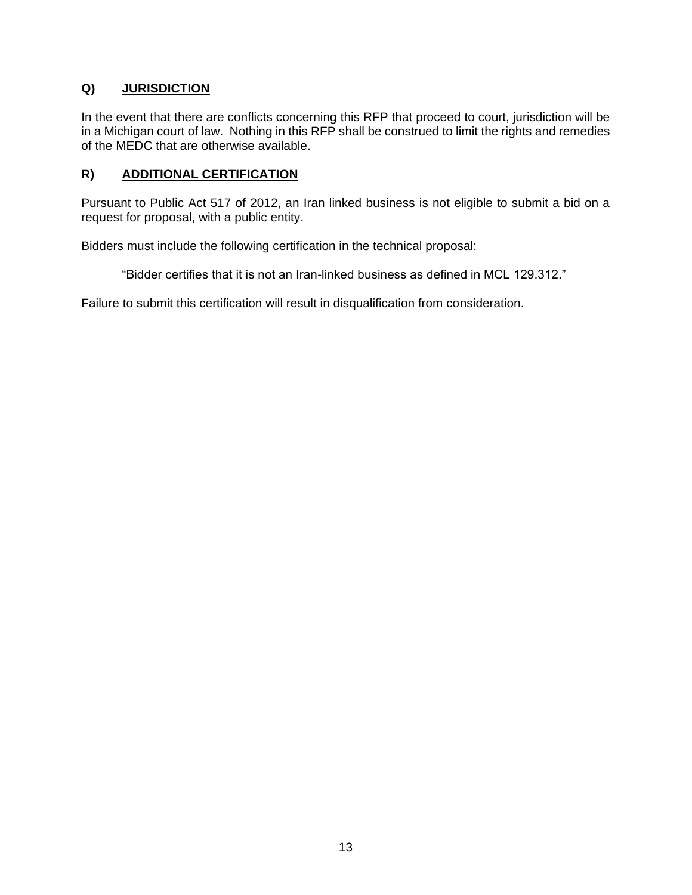# **Q) JURISDICTION**

In the event that there are conflicts concerning this RFP that proceed to court, jurisdiction will be in a Michigan court of law. Nothing in this RFP shall be construed to limit the rights and remedies of the MEDC that are otherwise available.

#### **R) ADDITIONAL CERTIFICATION**

Pursuant to Public Act 517 of 2012, an Iran linked business is not eligible to submit a bid on a request for proposal, with a public entity.

Bidders must include the following certification in the technical proposal:

"Bidder certifies that it is not an Iran-linked business as defined in MCL 129.312."

Failure to submit this certification will result in disqualification from consideration.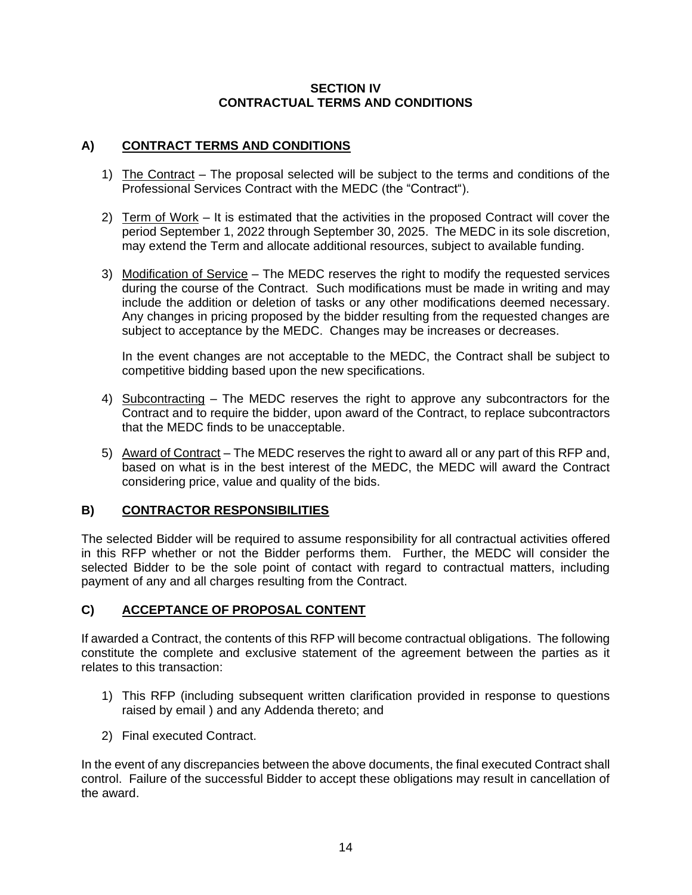#### **SECTION IV CONTRACTUAL TERMS AND CONDITIONS**

# **A) CONTRACT TERMS AND CONDITIONS**

- 1) The Contract The proposal selected will be subject to the terms and conditions of the Professional Services Contract with the MEDC (the "Contract").
- 2) Term of Work It is estimated that the activities in the proposed Contract will cover the period September 1, 2022 through September 30, 2025. The MEDC in its sole discretion, may extend the Term and allocate additional resources, subject to available funding.
- 3) Modification of Service The MEDC reserves the right to modify the requested services during the course of the Contract. Such modifications must be made in writing and may include the addition or deletion of tasks or any other modifications deemed necessary. Any changes in pricing proposed by the bidder resulting from the requested changes are subject to acceptance by the MEDC. Changes may be increases or decreases.

In the event changes are not acceptable to the MEDC, the Contract shall be subject to competitive bidding based upon the new specifications.

- 4) Subcontracting The MEDC reserves the right to approve any subcontractors for the Contract and to require the bidder, upon award of the Contract, to replace subcontractors that the MEDC finds to be unacceptable.
- 5) Award of Contract The MEDC reserves the right to award all or any part of this RFP and, based on what is in the best interest of the MEDC, the MEDC will award the Contract considering price, value and quality of the bids.

# **B) CONTRACTOR RESPONSIBILITIES**

The selected Bidder will be required to assume responsibility for all contractual activities offered in this RFP whether or not the Bidder performs them. Further, the MEDC will consider the selected Bidder to be the sole point of contact with regard to contractual matters, including payment of any and all charges resulting from the Contract.

# **C) ACCEPTANCE OF PROPOSAL CONTENT**

If awarded a Contract, the contents of this RFP will become contractual obligations. The following constitute the complete and exclusive statement of the agreement between the parties as it relates to this transaction:

- 1) This RFP (including subsequent written clarification provided in response to questions raised by email ) and any Addenda thereto; and
- 2) Final executed Contract.

In the event of any discrepancies between the above documents, the final executed Contract shall control. Failure of the successful Bidder to accept these obligations may result in cancellation of the award.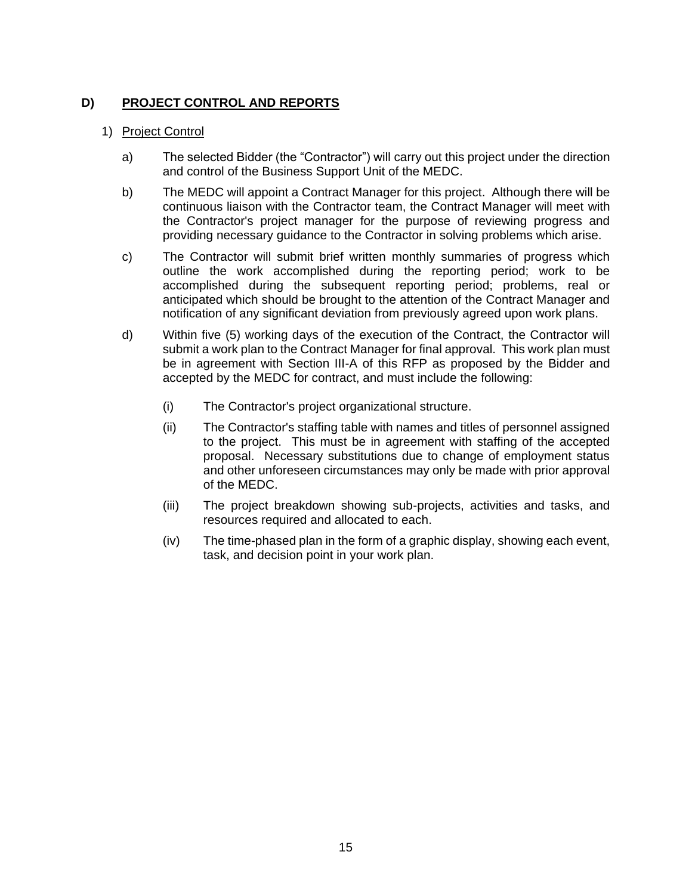# **D) PROJECT CONTROL AND REPORTS**

#### 1) Project Control

- a) The selected Bidder (the "Contractor") will carry out this project under the direction and control of the Business Support Unit of the MEDC.
- b) The MEDC will appoint a Contract Manager for this project. Although there will be continuous liaison with the Contractor team, the Contract Manager will meet with the Contractor's project manager for the purpose of reviewing progress and providing necessary guidance to the Contractor in solving problems which arise.
- c) The Contractor will submit brief written monthly summaries of progress which outline the work accomplished during the reporting period; work to be accomplished during the subsequent reporting period; problems, real or anticipated which should be brought to the attention of the Contract Manager and notification of any significant deviation from previously agreed upon work plans.
- d) Within five (5) working days of the execution of the Contract, the Contractor will submit a work plan to the Contract Manager for final approval. This work plan must be in agreement with Section III-A of this RFP as proposed by the Bidder and accepted by the MEDC for contract, and must include the following:
	- (i) The Contractor's project organizational structure.
	- (ii) The Contractor's staffing table with names and titles of personnel assigned to the project. This must be in agreement with staffing of the accepted proposal. Necessary substitutions due to change of employment status and other unforeseen circumstances may only be made with prior approval of the MEDC.
	- (iii) The project breakdown showing sub-projects, activities and tasks, and resources required and allocated to each.
	- (iv) The time-phased plan in the form of a graphic display, showing each event, task, and decision point in your work plan.